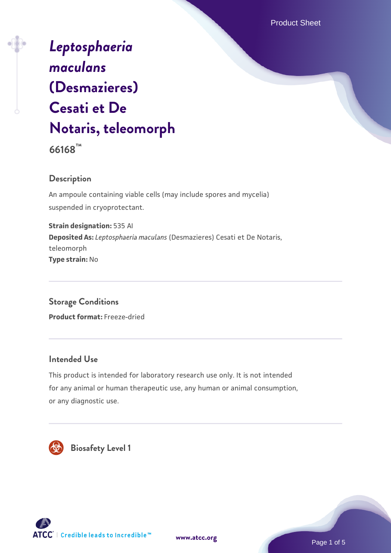Product Sheet

# *[Leptosphaeria](https://www.atcc.org/products/66168) [maculans](https://www.atcc.org/products/66168)* **[\(Desmazieres\)](https://www.atcc.org/products/66168) [Cesati et De](https://www.atcc.org/products/66168) [Notaris, teleomorph](https://www.atcc.org/products/66168)**

**66168™**

# **Description**

An ampoule containing viable cells (may include spores and mycelia) suspended in cryoprotectant.

**Strain designation:** 535 AI **Deposited As:** *Leptosphaeria maculans* (Desmazieres) Cesati et De Notaris, teleomorph **Type strain:** No

**Storage Conditions**

**Product format:** Freeze-dried

## **Intended Use**

This product is intended for laboratory research use only. It is not intended for any animal or human therapeutic use, any human or animal consumption, or any diagnostic use.



 **Biosafety Level 1**

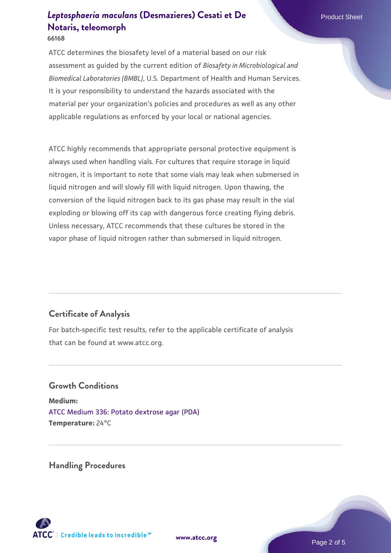ATCC determines the biosafety level of a material based on our risk assessment as guided by the current edition of *Biosafety in Microbiological and Biomedical Laboratories (BMBL)*, U.S. Department of Health and Human Services. It is your responsibility to understand the hazards associated with the material per your organization's policies and procedures as well as any other applicable regulations as enforced by your local or national agencies.

ATCC highly recommends that appropriate personal protective equipment is always used when handling vials. For cultures that require storage in liquid nitrogen, it is important to note that some vials may leak when submersed in liquid nitrogen and will slowly fill with liquid nitrogen. Upon thawing, the conversion of the liquid nitrogen back to its gas phase may result in the vial exploding or blowing off its cap with dangerous force creating flying debris. Unless necessary, ATCC recommends that these cultures be stored in the vapor phase of liquid nitrogen rather than submersed in liquid nitrogen.

# **Certificate of Analysis**

For batch-specific test results, refer to the applicable certificate of analysis that can be found at www.atcc.org.

# **Growth Conditions Medium:**  [ATCC Medium 336: Potato dextrose agar \(PDA\)](https://www.atcc.org/-/media/product-assets/documents/microbial-media-formulations/3/3/6/atcc-medium-336.pdf?rev=d9160ad44d934cd8b65175461abbf3b9)

**Temperature:** 24°C

**Handling Procedures**

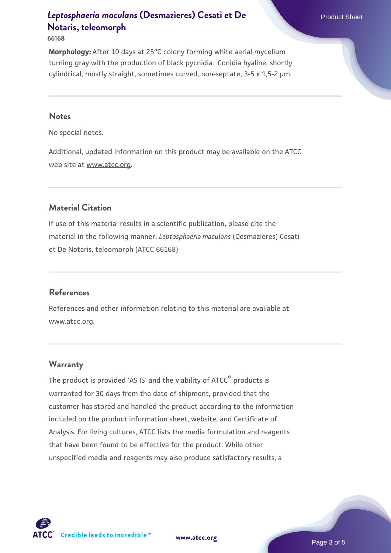#### **66168**

**Morphology:** After 10 days at 25°C colony forming white aerial mycelium turning gray with the production of black pycnidia. Conidia hyaline, shortly cylindrical, mostly straight, sometimes curved, non-septate, 3-5 x 1,5-2 µm.

#### **Notes**

No special notes.

Additional, updated information on this product may be available on the ATCC web site at www.atcc.org.

# **Material Citation**

If use of this material results in a scientific publication, please cite the material in the following manner: *Leptosphaeria maculans* (Desmazieres) Cesati et De Notaris, teleomorph (ATCC 66168)

#### **References**

References and other information relating to this material are available at www.atcc.org.

#### **Warranty**

The product is provided 'AS IS' and the viability of ATCC<sup>®</sup> products is warranted for 30 days from the date of shipment, provided that the customer has stored and handled the product according to the information included on the product information sheet, website, and Certificate of Analysis. For living cultures, ATCC lists the media formulation and reagents that have been found to be effective for the product. While other unspecified media and reagents may also produce satisfactory results, a



**[www.atcc.org](http://www.atcc.org)**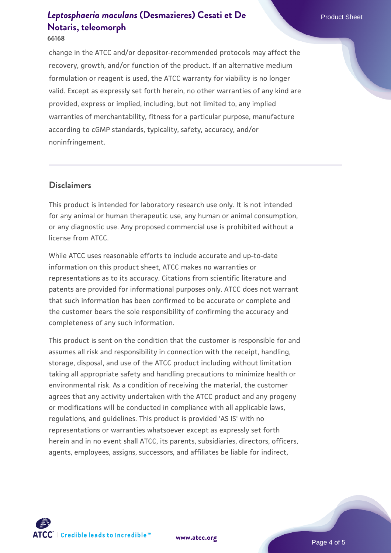#### **66168**

change in the ATCC and/or depositor-recommended protocols may affect the recovery, growth, and/or function of the product. If an alternative medium formulation or reagent is used, the ATCC warranty for viability is no longer valid. Except as expressly set forth herein, no other warranties of any kind are provided, express or implied, including, but not limited to, any implied warranties of merchantability, fitness for a particular purpose, manufacture according to cGMP standards, typicality, safety, accuracy, and/or noninfringement.

## **Disclaimers**

This product is intended for laboratory research use only. It is not intended for any animal or human therapeutic use, any human or animal consumption, or any diagnostic use. Any proposed commercial use is prohibited without a license from ATCC.

While ATCC uses reasonable efforts to include accurate and up-to-date information on this product sheet, ATCC makes no warranties or representations as to its accuracy. Citations from scientific literature and patents are provided for informational purposes only. ATCC does not warrant that such information has been confirmed to be accurate or complete and the customer bears the sole responsibility of confirming the accuracy and completeness of any such information.

This product is sent on the condition that the customer is responsible for and assumes all risk and responsibility in connection with the receipt, handling, storage, disposal, and use of the ATCC product including without limitation taking all appropriate safety and handling precautions to minimize health or environmental risk. As a condition of receiving the material, the customer agrees that any activity undertaken with the ATCC product and any progeny or modifications will be conducted in compliance with all applicable laws, regulations, and guidelines. This product is provided 'AS IS' with no representations or warranties whatsoever except as expressly set forth herein and in no event shall ATCC, its parents, subsidiaries, directors, officers, agents, employees, assigns, successors, and affiliates be liable for indirect,



**[www.atcc.org](http://www.atcc.org)**

Page 4 of 5